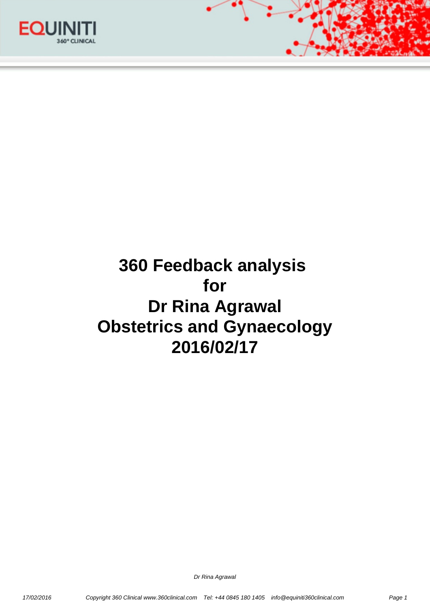



# **360 Feedback analysis for Dr Rina Agrawal Obstetrics and Gynaecology 2016/02/17**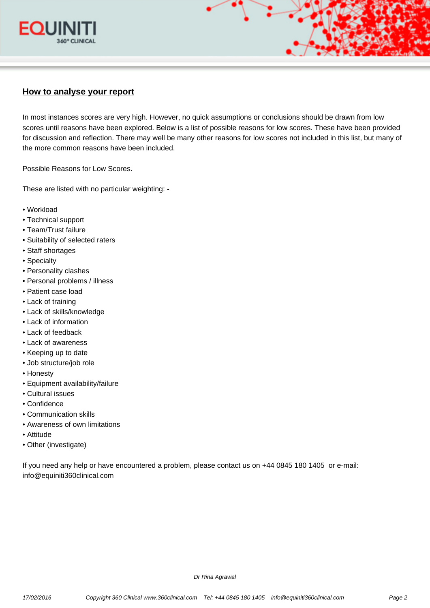

# **How to analyse your report**

In most instances scores are very high. However, no quick assumptions or conclusions should be drawn from low scores until reasons have been explored. Below is a list of possible reasons for low scores. These have been provided for discussion and reflection. There may well be many other reasons for low scores not included in this list, but many of the more common reasons have been included.

Possible Reasons for Low Scores.

These are listed with no particular weighting: -

- Workload
- Technical support
- Team/Trust failure
- Suitability of selected raters
- Staff shortages
- Specialty
- Personality clashes
- Personal problems / illness
- Patient case load
- Lack of training
- Lack of skills/knowledge
- Lack of information
- Lack of feedback
- Lack of awareness
- Keeping up to date
- Job structure/job role
- Honesty
- Equipment availability/failure
- Cultural issues
- Confidence
- Communication skills
- Awareness of own limitations
- Attitude
- Other (investigate)

If you need any help or have encountered a problem, please contact us on +44 0845 180 1405 or e-mail: info@equiniti360clinical.com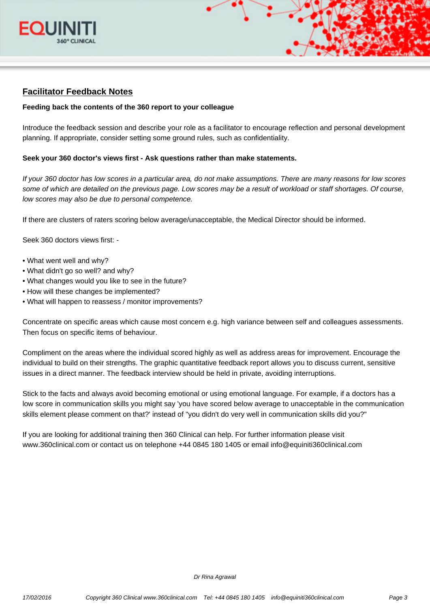



# **Facilitator Feedback Notes**

### **Feeding back the contents of the 360 report to your colleague**

Introduce the feedback session and describe your role as a facilitator to encourage reflection and personal development planning. If appropriate, consider setting some ground rules, such as confidentiality.

#### **Seek your 360 doctor's views first - Ask questions rather than make statements.**

If your 360 doctor has low scores in a particular area, do not make assumptions. There are many reasons for low scores some of which are detailed on the previous page. Low scores may be a result of workload or staff shortages. Of course, low scores may also be due to personal competence.

If there are clusters of raters scoring below average/unacceptable, the Medical Director should be informed.

Seek 360 doctors views first: -

- What went well and why?
- What didn't go so well? and why?
- What changes would you like to see in the future?
- How will these changes be implemented?
- What will happen to reassess / monitor improvements?

Concentrate on specific areas which cause most concern e.g. high variance between self and colleagues assessments. Then focus on specific items of behaviour.

Compliment on the areas where the individual scored highly as well as address areas for improvement. Encourage the individual to build on their strengths. The graphic quantitative feedback report allows you to discuss current, sensitive issues in a direct manner. The feedback interview should be held in private, avoiding interruptions.

Stick to the facts and always avoid becoming emotional or using emotional language. For example, if a doctors has a low score in communication skills you might say 'you have scored below average to unacceptable in the communication skills element please comment on that?' instead of "you didn't do very well in communication skills did you?"

If you are looking for additional training then 360 Clinical can help. For further information please visit www.360clinical.com or contact us on telephone +44 0845 180 1405 or email info@equiniti360clinical.com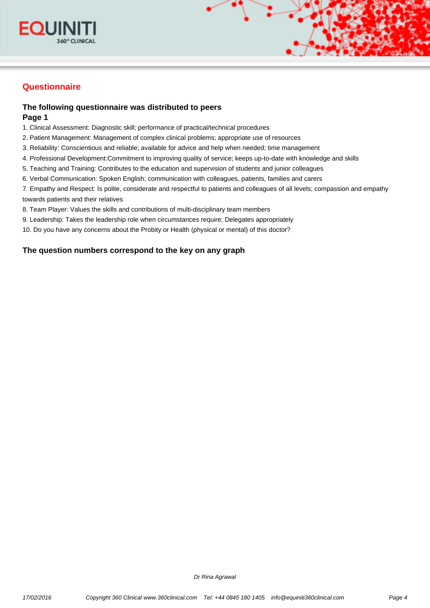



# **Questionnaire**

## **The following questionnaire was distributed to peers Page 1**

1. Clinical Assessment: Diagnostic skill; performance of practical/technical procedures

- 2. Patient Management: Management of complex clinical problems; appropriate use of resources
- 3. Reliability: Conscientious and reliable; available for advice and help when needed; time management
- 4. Professional Development:Commitment to improving quality of service; keeps up-to-date with knowledge and skills
- 5. Teaching and Training: Contributes to the education and supervision of students and junior colleagues
- 6. Verbal Communication: Spoken English; communication with colleagues, patients, families and carers

7. Empathy and Respect: Is polite, considerate and respectful to patients and colleagues of all levels; compassion and empathy towards patients and their relatives

- 8. Team Player: Values the skills and contributions of multi-disciplinary team members
- 9. Leadership: Takes the leadership role when circumstances require; Delegates appropriately
- 10. Do you have any concerns about the Probity or Health (physical or mental) of this doctor?

## **The question numbers correspond to the key on any graph**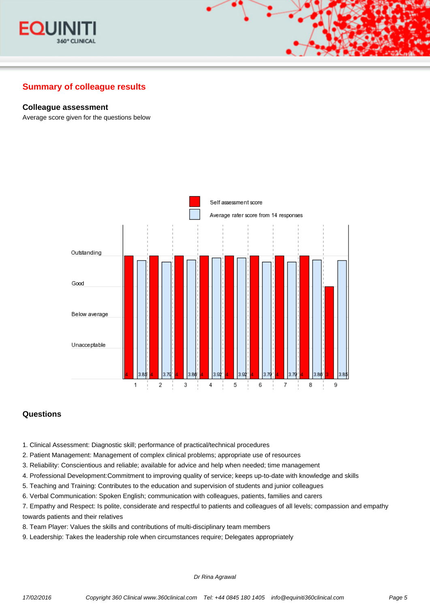

### **Colleague assessment**

Average score given for the questions below



## **Questions**

- 1. Clinical Assessment: Diagnostic skill; performance of practical/technical procedures
- 2. Patient Management: Management of complex clinical problems; appropriate use of resources
- 3. Reliability: Conscientious and reliable; available for advice and help when needed; time management
- 4. Professional Development:Commitment to improving quality of service; keeps up-to-date with knowledge and skills
- 5. Teaching and Training: Contributes to the education and supervision of students and junior colleagues
- 6. Verbal Communication: Spoken English; communication with colleagues, patients, families and carers

7. Empathy and Respect: Is polite, considerate and respectful to patients and colleagues of all levels; compassion and empathy towards patients and their relatives

- 8. Team Player: Values the skills and contributions of multi-disciplinary team members
- 9. Leadership: Takes the leadership role when circumstances require; Delegates appropriately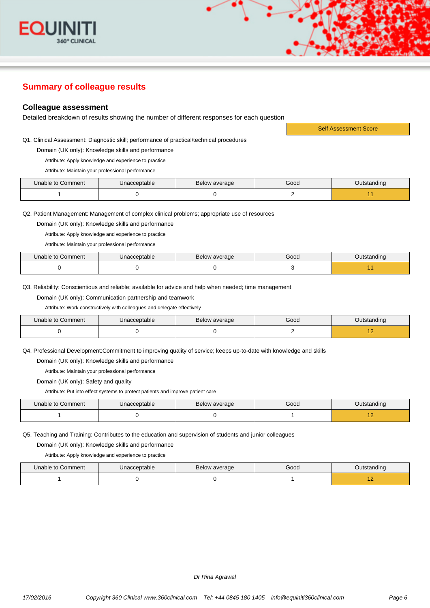

#### **Colleague assessment**

Detailed breakdown of results showing the number of different responses for each question

Q1. Clinical Assessment: Diagnostic skill; performance of practical/technical procedures

Domain (UK only): Knowledge skills and performance

Attribute: Apply knowledge and experience to practice

Attribute: Maintain your professional performance

| Unable to Comment | Unacceptable | Below average | Good | <b>Dutstanding</b> |
|-------------------|--------------|---------------|------|--------------------|
|                   |              |               |      |                    |

Q2. Patient Management: Management of complex clinical problems; appropriate use of resources

Domain (UK only): Knowledge skills and performance

Attribute: Apply knowledge and experience to practice

Attribute: Maintain your professional performance

| Unable to Comment | Unacceptable | Below average | Good | Jutstanding |
|-------------------|--------------|---------------|------|-------------|
|                   |              |               |      |             |

Q3. Reliability: Conscientious and reliable; available for advice and help when needed; time management

Domain (UK only): Communication partnership and teamwork

Attribute: Work constructively with colleagues and delegate effectively

| Unable to Comment | Unacceptable | Below average | Good | Outstanding |
|-------------------|--------------|---------------|------|-------------|
|                   |              |               |      |             |

Q4. Professional Development:Commitment to improving quality of service; keeps up-to-date with knowledge and skills

Domain (UK only): Knowledge skills and performance

Attribute: Maintain your professional performance

Domain (UK only): Safety and quality

Attribute: Put into effect systems to protect patients and improve patient care

| Unable to Comment | Unacceptable | Below average | Good | Outstanding |
|-------------------|--------------|---------------|------|-------------|
|                   |              |               |      | . .         |

Q5. Teaching and Training: Contributes to the education and supervision of students and junior colleagues

Domain (UK only): Knowledge skills and performance

Attribute: Apply knowledge and experience to practice

| Unable to Comment | Unacceptable | Below average | Good | Outstanding |
|-------------------|--------------|---------------|------|-------------|
|                   |              |               |      |             |

Dr Rina Agrawal

Self Assessment Score

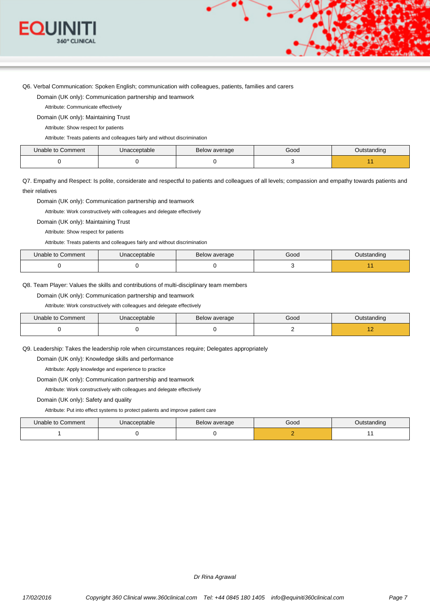

Q6. Verbal Communication: Spoken English; communication with colleagues, patients, families and carers

Domain (UK only): Communication partnership and teamwork

Attribute: Communicate effectively

Domain (UK only): Maintaining Trust

Attribute: Show respect for patients

Attribute: Treats patients and colleagues fairly and without discrimination

| Unable to Comment | Jnacceptable | Below average | Good | )utstanding |
|-------------------|--------------|---------------|------|-------------|
|                   |              |               |      |             |

Q7. Empathy and Respect: Is polite, considerate and respectful to patients and colleagues of all levels; compassion and empathy towards patients and their relatives

Domain (UK only): Communication partnership and teamwork

Attribute: Work constructively with colleagues and delegate effectively

Domain (UK only): Maintaining Trust

Attribute: Show respect for patients

Attribute: Treats patients and colleagues fairly and without discrimination

| Unable to Comment | Unacceptable | Below average | Good | Outstanding |
|-------------------|--------------|---------------|------|-------------|
|                   |              |               |      |             |

Q8. Team Player: Values the skills and contributions of multi-disciplinary team members

Domain (UK only): Communication partnership and teamwork

Attribute: Work constructively with colleagues and delegate effectively

| Unable to Comment | Unacceptable | Below average | Good | Outstanding |
|-------------------|--------------|---------------|------|-------------|
|                   |              |               |      |             |

Q9. Leadership: Takes the leadership role when circumstances require; Delegates appropriately

Domain (UK only): Knowledge skills and performance

Attribute: Apply knowledge and experience to practice

Domain (UK only): Communication partnership and teamwork

Attribute: Work constructively with colleagues and delegate effectively

Domain (UK only): Safety and quality

Attribute: Put into effect systems to protect patients and improve patient care

| Unable to Comment | Unacceptable | Below average | Good | Outstanding |
|-------------------|--------------|---------------|------|-------------|
|                   |              |               |      |             |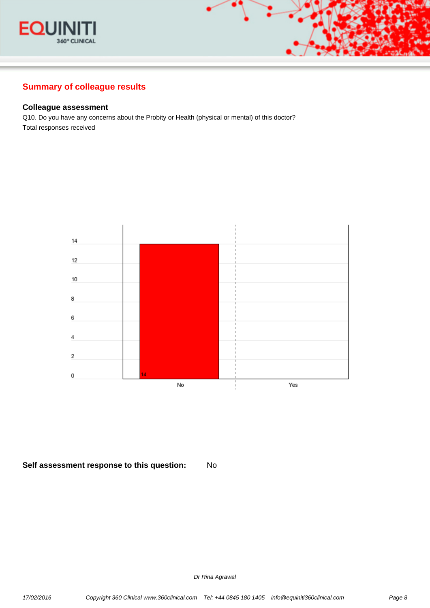



## **Colleague assessment**

Q10. Do you have any concerns about the Probity or Health (physical or mental) of this doctor? Total responses received



## **Self assessment response to this question:** No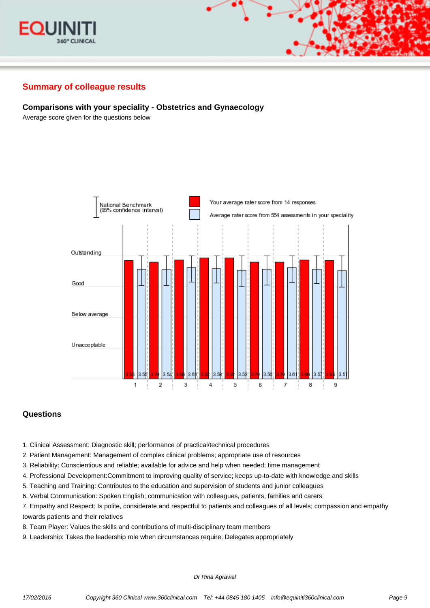



## **Comparisons with your speciality - Obstetrics and Gynaecology**

Average score given for the questions below



## **Questions**

- 1. Clinical Assessment: Diagnostic skill; performance of practical/technical procedures
- 2. Patient Management: Management of complex clinical problems; appropriate use of resources
- 3. Reliability: Conscientious and reliable; available for advice and help when needed; time management
- 4. Professional Development:Commitment to improving quality of service; keeps up-to-date with knowledge and skills
- 5. Teaching and Training: Contributes to the education and supervision of students and junior colleagues
- 6. Verbal Communication: Spoken English; communication with colleagues, patients, families and carers
- 7. Empathy and Respect: Is polite, considerate and respectful to patients and colleagues of all levels; compassion and empathy towards patients and their relatives
- 8. Team Player: Values the skills and contributions of multi-disciplinary team members
- 9. Leadership: Takes the leadership role when circumstances require; Delegates appropriately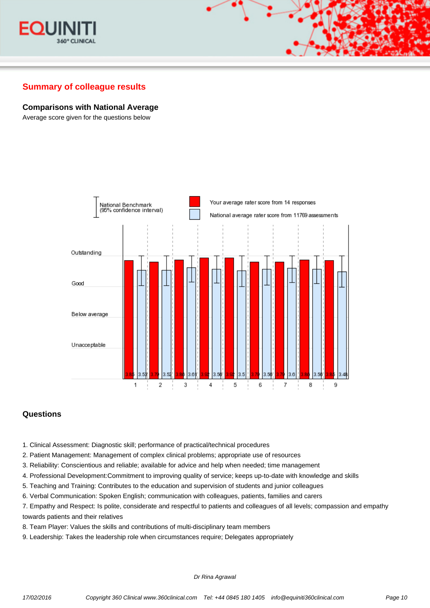

#### **Comparisons with National Average**

Average score given for the questions below



## **Questions**

- 1. Clinical Assessment: Diagnostic skill; performance of practical/technical procedures
- 2. Patient Management: Management of complex clinical problems; appropriate use of resources
- 3. Reliability: Conscientious and reliable; available for advice and help when needed; time management
- 4. Professional Development:Commitment to improving quality of service; keeps up-to-date with knowledge and skills
- 5. Teaching and Training: Contributes to the education and supervision of students and junior colleagues
- 6. Verbal Communication: Spoken English; communication with colleagues, patients, families and carers

7. Empathy and Respect: Is polite, considerate and respectful to patients and colleagues of all levels; compassion and empathy towards patients and their relatives

- 8. Team Player: Values the skills and contributions of multi-disciplinary team members
- 9. Leadership: Takes the leadership role when circumstances require; Delegates appropriately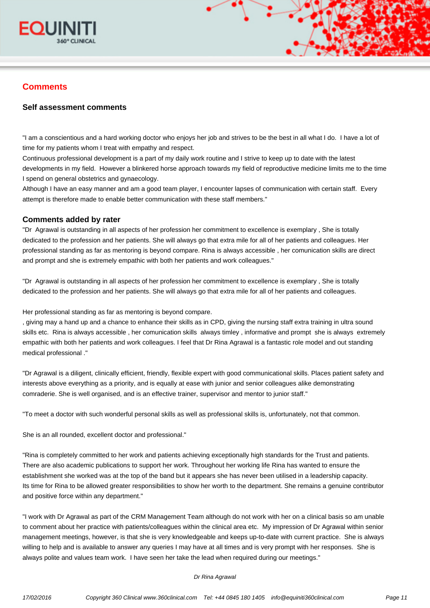

# **Comments**

## **Self assessment comments**

"I am a conscientious and a hard working doctor who enjoys her job and strives to be the best in all what I do. I have a lot of time for my patients whom I treat with empathy and respect.

Continuous professional development is a part of my daily work routine and I strive to keep up to date with the latest developments in my field. However a blinkered horse approach towards my field of reproductive medicine limits me to the time I spend on general obstetrics and gynaecology.

Although I have an easy manner and am a good team player, I encounter lapses of communication with certain staff. Every attempt is therefore made to enable better communication with these staff members."

#### **Comments added by rater**

"Dr Agrawal is outstanding in all aspects of her profession her commitment to excellence is exemplary , She is totally dedicated to the profession and her patients. She will always go that extra mile for all of her patients and colleagues. Her professional standing as far as mentoring is beyond compare. Rina is always accessible , her comunication skills are direct and prompt and she is extremely empathic with both her patients and work colleagues."

"Dr Agrawal is outstanding in all aspects of her profession her commitment to excellence is exemplary , She is totally dedicated to the profession and her patients. She will always go that extra mile for all of her patients and colleagues.

Her professional standing as far as mentoring is beyond compare.

, giving may a hand up and a chance to enhance their skills as in CPD, giving the nursing staff extra training in ultra sound skills etc. Rina is always accessible , her comunication skills always timley , informative and prompt she is always extremely empathic with both her patients and work colleagues. I feel that Dr Rina Agrawal is a fantastic role model and out standing medical professional ."

"Dr Agrawal is a diligent, clinically efficient, friendly, flexible expert with good communicational skills. Places patient safety and interests above everything as a priority, and is equally at ease with junior and senior colleagues alike demonstrating comraderie. She is well organised, and is an effective trainer, supervisor and mentor to junior staff."

"To meet a doctor with such wonderful personal skills as well as professional skills is, unfortunately, not that common.

She is an all rounded, excellent doctor and professional."

"Rina is completely committed to her work and patients achieving exceptionally high standards for the Trust and patients. There are also academic publications to support her work. Throughout her working life Rina has wanted to ensure the establishment she worked was at the top of the band but it appears she has never been utilised in a leadership capacity. Its time for Rina to be allowed greater responsibilities to show her worth to the department. She remains a genuine contributor and positive force within any department."

"I work with Dr Agrawal as part of the CRM Management Team although do not work with her on a clinical basis so am unable to comment about her practice with patients/colleagues within the clinical area etc. My impression of Dr Agrawal within senior management meetings, however, is that she is very knowledgeable and keeps up-to-date with current practice. She is always willing to help and is available to answer any queries I may have at all times and is very prompt with her responses. She is always polite and values team work. I have seen her take the lead when required during our meetings."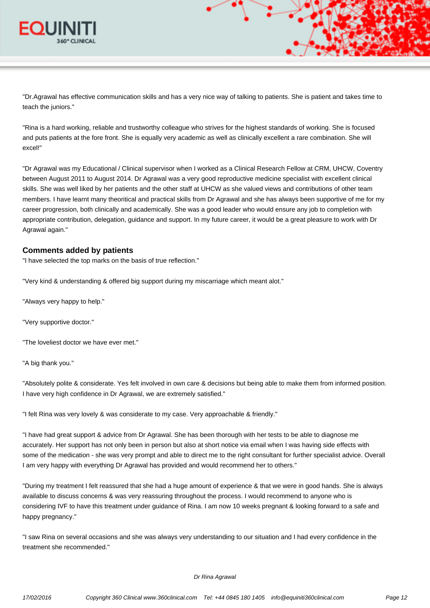

"Dr.Agrawal has effective communication skills and has a very nice way of talking to patients. She is patient and takes time to teach the juniors."

"Rina is a hard working, reliable and trustworthy colleague who strives for the highest standards of working. She is focused and puts patients at the fore front. She is equally very academic as well as clinically excellent a rare combination. She will excel!"

"Dr Agrawal was my Educational / Clinical supervisor when I worked as a Clinical Research Fellow at CRM, UHCW, Coventry between August 2011 to August 2014. Dr Agrawal was a very good reproductive medicine specialist with excellent clinical skills. She was well liked by her patients and the other staff at UHCW as she valued views and contributions of other team members. I have learnt many theoritical and practical skills from Dr Agrawal and she has always been supportive of me for my career progression, both clinically and academically. She was a good leader who would ensure any job to completion with appropriate contribution, delegation, guidance and support. In my future career, it would be a great pleasure to work with Dr Agrawal again."

#### **Comments added by patients**

"I have selected the top marks on the basis of true reflection."

"Very kind & understanding & offered big support during my miscarriage which meant alot."

"Always very happy to help."

"Very supportive doctor."

"The loveliest doctor we have ever met."

"A big thank you."

"Absolutely polite & considerate. Yes felt involved in own care & decisions but being able to make them from informed position. I have very high confidence in Dr Agrawal, we are extremely satisfied."

"I felt Rina was very lovely & was considerate to my case. Very approachable & friendly."

"I have had great support & advice from Dr Agrawal. She has been thorough with her tests to be able to diagnose me accurately. Her support has not only been in person but also at short notice via email when I was having side effects with some of the medication - she was very prompt and able to direct me to the right consultant for further specialist advice. Overall I am very happy with everything Dr Agrawal has provided and would recommend her to others."

"During my treatment I felt reassured that she had a huge amount of experience & that we were in good hands. She is always available to discuss concerns & was very reassuring throughout the process. I would recommend to anyone who is considering IVF to have this treatment under guidance of Rina. I am now 10 weeks pregnant & looking forward to a safe and happy pregnancy."

"I saw Rina on several occasions and she was always very understanding to our situation and I had every confidence in the treatment she recommended."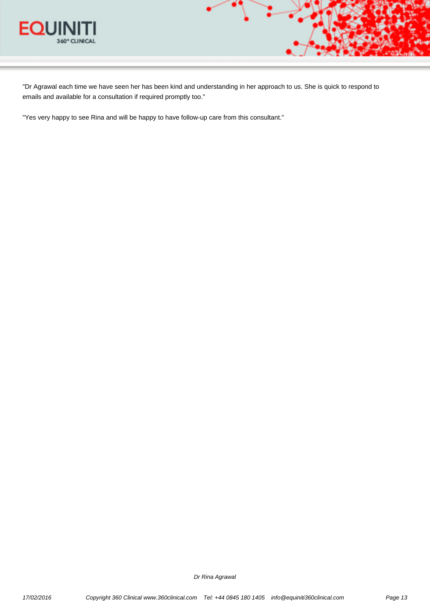

"Dr Agrawal each time we have seen her has been kind and understanding in her approach to us. She is quick to respond to emails and available for a consultation if required promptly too."

"Yes very happy to see Rina and will be happy to have follow-up care from this consultant."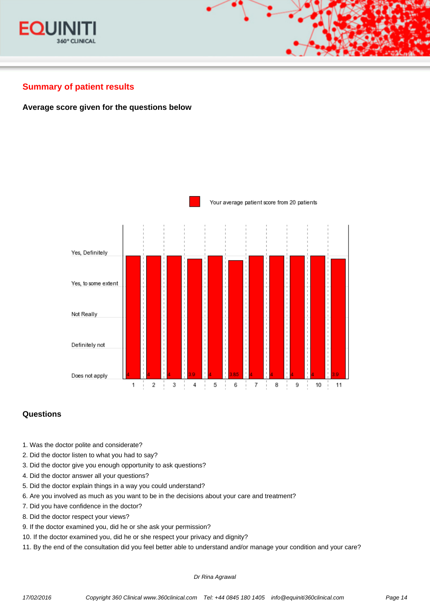



# **Summary of patient results**

## **Average score given for the questions below**



## **Questions**

- 1. Was the doctor polite and considerate?
- 2. Did the doctor listen to what you had to say?
- 3. Did the doctor give you enough opportunity to ask questions?
- 4. Did the doctor answer all your questions?
- 5. Did the doctor explain things in a way you could understand?
- 6. Are you involved as much as you want to be in the decisions about your care and treatment?
- 7. Did you have confidence in the doctor?
- 8. Did the doctor respect your views?
- 9. If the doctor examined you, did he or she ask your permission?
- 10. If the doctor examined you, did he or she respect your privacy and dignity?
- 11. By the end of the consultation did you feel better able to understand and/or manage your condition and your care?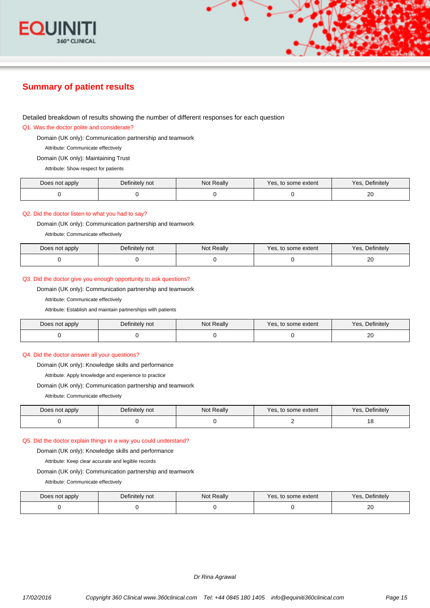

# **Summary of patient results**

#### Detailed breakdown of results showing the number of different responses for each question

Q1. Was the doctor polite and considerate?

Domain (UK only): Communication partnership and teamwork

Attribute: Communicate effectively

Domain (UK only): Maintaining Trust

Attribute: Show respect for patients

| Does not apply | Definitely not | Not Really | Yes, to some extent | Definitely<br>Yes. |
|----------------|----------------|------------|---------------------|--------------------|
|                |                |            |                     | ~~<br>∠∪           |

#### Q2. Did the doctor listen to what you had to say?

Domain (UK only): Communication partnership and teamwork

Attribute: Communicate effectively

| Does not apply | Definitely not | Not Really | Yes, to some extent | Yes, Definitely |
|----------------|----------------|------------|---------------------|-----------------|
|                |                |            |                     | n r<br>ZU       |

#### Q3. Did the doctor give you enough opportunity to ask questions?

Domain (UK only): Communication partnership and teamwork

Attribute: Communicate effectively

Attribute: Establish and maintain partnerships with patients

| Does not apply | Definitely not | Not Really | Yes, to some extent | Yes.<br>, Definitely |
|----------------|----------------|------------|---------------------|----------------------|
|                |                |            |                     | ∠∪                   |

#### Q4. Did the doctor answer all your questions?

Domain (UK only): Knowledge skills and performance

Attribute: Apply knowledge and experience to practice

Domain (UK only): Communication partnership and teamwork

Attribute: Communicate effectively

| Does not apply | Definitely not | Not Really | Yes, to some extent | Definitely<br>Yes. |
|----------------|----------------|------------|---------------------|--------------------|
|                |                |            |                     | . ب                |

#### Q5. Did the doctor explain things in a way you could understand?

Domain (UK only): Knowledge skills and performance

Attribute: Keep clear accurate and legible records

Domain (UK only): Communication partnership and teamwork

Attribute: Communicate effectively

| Does not apply | Definitely not | Not Really | Yes, to some extent | Yes, Definitely |
|----------------|----------------|------------|---------------------|-----------------|
|                |                |            |                     | n r<br>2U       |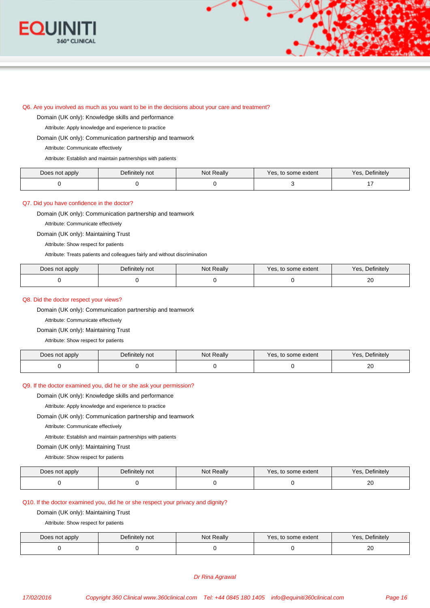

#### Q6. Are you involved as much as you want to be in the decisions about your care and treatment?

Domain (UK only): Knowledge skills and performance

Attribute: Apply knowledge and experience to practice

Domain (UK only): Communication partnership and teamwork

Attribute: Communicate effectively

Attribute: Establish and maintain partnerships with patients

| Does not apply | Definitely not | Not Really | Yes, to some extent | Yes, Definitely |
|----------------|----------------|------------|---------------------|-----------------|
|                |                |            |                     |                 |

#### Q7. Did you have confidence in the doctor?

Domain (UK only): Communication partnership and teamwork

Attribute: Communicate effectively

Domain (UK only): Maintaining Trust

Attribute: Show respect for patients

Attribute: Treats patients and colleagues fairly and without discrimination

| Does not apply | Definitely not | Not Really | , to some extent<br>Yes. | Definitelv<br>Yes. |
|----------------|----------------|------------|--------------------------|--------------------|
|                |                |            |                          | חר<br>ZU           |

#### Q8. Did the doctor respect your views?

Domain (UK only): Communication partnership and teamwork

Attribute: Communicate effectively

#### Domain (UK only): Maintaining Trust

Attribute: Show respect for patients

| Does not apply | Definitely not | <b>Not Really</b> | Yes, to some extent | Yes.<br>Definitelv |
|----------------|----------------|-------------------|---------------------|--------------------|
|                |                |                   |                     | n r<br>∠∪<br>__    |

#### Q9. If the doctor examined you, did he or she ask your permission?

Domain (UK only): Knowledge skills and performance

Attribute: Apply knowledge and experience to practice

Domain (UK only): Communication partnership and teamwork

Attribute: Communicate effectively

Attribute: Establish and maintain partnerships with patients

Domain (UK only): Maintaining Trust

Attribute: Show respect for patients

| Does not apply | Definitely not | Not Really | Yes, to some extent | Definitely<br>Yes. |
|----------------|----------------|------------|---------------------|--------------------|
|                |                |            |                     | ንበ<br>ZU           |

#### Q10. If the doctor examined you, did he or she respect your privacy and dignity?

Domain (UK only): Maintaining Trust

Attribute: Show respect for patients

| Does not apply | Definitely not | Not Really | Yes, to some extent | Definitely<br>Yes, |
|----------------|----------------|------------|---------------------|--------------------|
|                |                |            |                     | $\sim$<br>ZU       |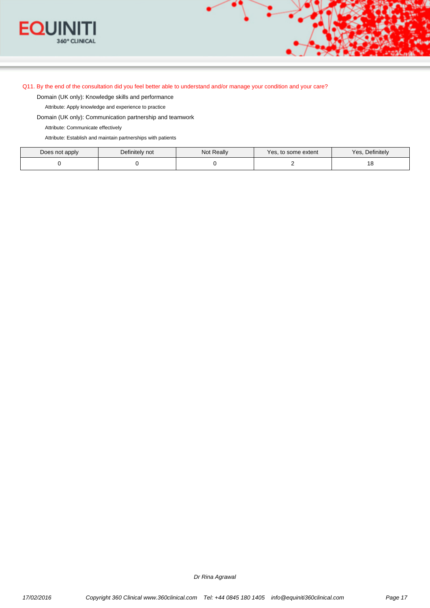

#### Q11. By the end of the consultation did you feel better able to understand and/or manage your condition and your care?

Domain (UK only): Knowledge skills and performance

Attribute: Apply knowledge and experience to practice

Domain (UK only): Communication partnership and teamwork

Attribute: Communicate effectively

Attribute: Establish and maintain partnerships with patients

| Does not apply | Definitely not | <b>Not Really</b> | Yes, to some extent | Yes.<br>, Definitely |
|----------------|----------------|-------------------|---------------------|----------------------|
|                |                |                   |                     | ت                    |